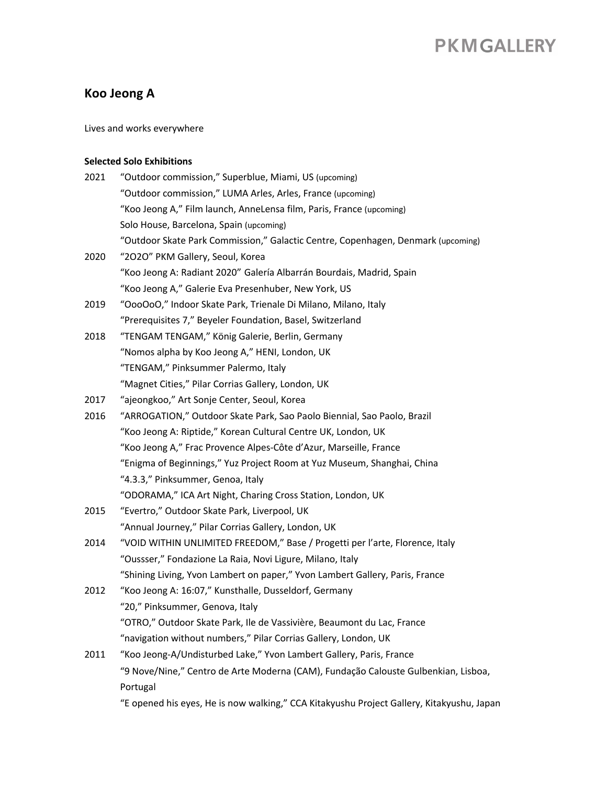### **Koo Jeong A**

Lives and works everywhere

### **Selected Solo Exhibitions**

| 2021 | "Outdoor commission," Superblue, Miami, US (upcoming)                                     |
|------|-------------------------------------------------------------------------------------------|
|      | "Outdoor commission," LUMA Arles, Arles, France (upcoming)                                |
|      | "Koo Jeong A," Film launch, AnneLensa film, Paris, France (upcoming)                      |
|      | Solo House, Barcelona, Spain (upcoming)                                                   |
|      | "Outdoor Skate Park Commission," Galactic Centre, Copenhagen, Denmark (upcoming)          |
| 2020 | "2020" PKM Gallery, Seoul, Korea                                                          |
|      | "Koo Jeong A: Radiant 2020" Galería Albarrán Bourdais, Madrid, Spain                      |
|      | "Koo Jeong A," Galerie Eva Presenhuber, New York, US                                      |
| 2019 | "OooOoO," Indoor Skate Park, Trienale Di Milano, Milano, Italy                            |
|      | "Prerequisites 7," Beyeler Foundation, Basel, Switzerland                                 |
| 2018 | "TENGAM TENGAM," König Galerie, Berlin, Germany                                           |
|      | "Nomos alpha by Koo Jeong A," HENI, London, UK                                            |
|      | "TENGAM," Pinksummer Palermo, Italy                                                       |
|      | "Magnet Cities," Pilar Corrias Gallery, London, UK                                        |
| 2017 | "ajeongkoo," Art Sonje Center, Seoul, Korea                                               |
| 2016 | "ARROGATION," Outdoor Skate Park, Sao Paolo Biennial, Sao Paolo, Brazil                   |
|      | "Koo Jeong A: Riptide," Korean Cultural Centre UK, London, UK                             |
|      | "Koo Jeong A," Frac Provence Alpes-Côte d'Azur, Marseille, France                         |
|      | "Enigma of Beginnings," Yuz Project Room at Yuz Museum, Shanghai, China                   |
|      | "4.3.3," Pinksummer, Genoa, Italy                                                         |
|      | "ODORAMA," ICA Art Night, Charing Cross Station, London, UK                               |
| 2015 | "Evertro," Outdoor Skate Park, Liverpool, UK                                              |
|      | "Annual Journey," Pilar Corrias Gallery, London, UK                                       |
| 2014 | "VOID WITHIN UNLIMITED FREEDOM," Base / Progetti per l'arte, Florence, Italy              |
|      | "Oussser," Fondazione La Raia, Novi Ligure, Milano, Italy                                 |
|      | "Shining Living, Yvon Lambert on paper," Yvon Lambert Gallery, Paris, France              |
| 2012 | "Koo Jeong A: 16:07," Kunsthalle, Dusseldorf, Germany                                     |
|      | "20," Pinksummer, Genova, Italy                                                           |
|      | "OTRO," Outdoor Skate Park, Ile de Vassivière, Beaumont du Lac, France                    |
|      | "navigation without numbers," Pilar Corrias Gallery, London, UK                           |
| 2011 | "Koo Jeong-A/Undisturbed Lake," Yvon Lambert Gallery, Paris, France                       |
|      | "9 Nove/Nine," Centro de Arte Moderna (CAM), Fundação Calouste Gulbenkian, Lisboa,        |
|      | Portugal                                                                                  |
|      | "E opened his eyes, He is now walking," CCA Kitakyushu Project Gallery, Kitakyushu, Japan |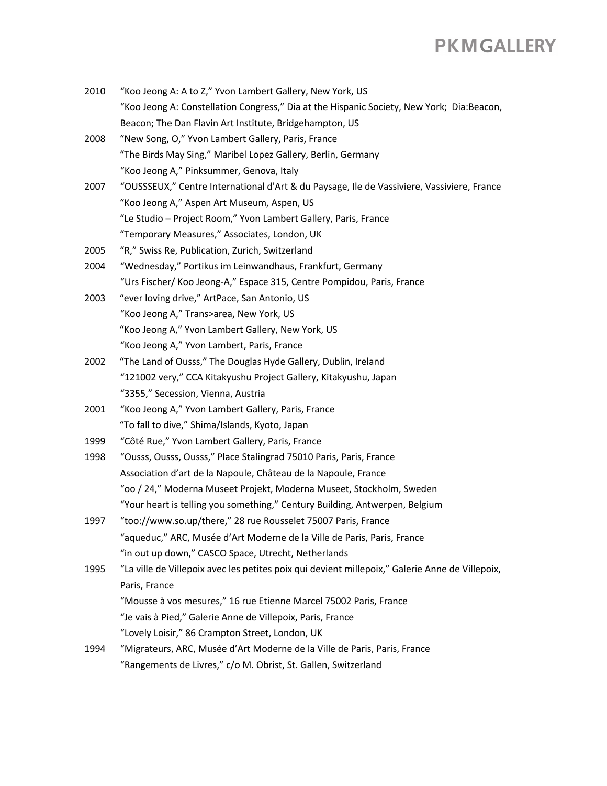| 2010 | "Koo Jeong A: A to Z," Yvon Lambert Gallery, New York, US                                       |
|------|-------------------------------------------------------------------------------------------------|
|      | "Koo Jeong A: Constellation Congress," Dia at the Hispanic Society, New York; Dia:Beacon,       |
|      | Beacon; The Dan Flavin Art Institute, Bridgehampton, US                                         |
| 2008 | "New Song, O," Yvon Lambert Gallery, Paris, France                                              |
|      | "The Birds May Sing," Maribel Lopez Gallery, Berlin, Germany                                    |
|      | "Koo Jeong A," Pinksummer, Genova, Italy                                                        |
| 2007 | "OUSSSEUX," Centre International d'Art & du Paysage, lle de Vassiviere, Vassiviere, France      |
|      | "Koo Jeong A," Aspen Art Museum, Aspen, US                                                      |
|      | "Le Studio - Project Room," Yvon Lambert Gallery, Paris, France                                 |
|      | "Temporary Measures," Associates, London, UK                                                    |
| 2005 | "R," Swiss Re, Publication, Zurich, Switzerland                                                 |
| 2004 | "Wednesday," Portikus im Leinwandhaus, Frankfurt, Germany                                       |
|      | "Urs Fischer/ Koo Jeong-A," Espace 315, Centre Pompidou, Paris, France                          |
| 2003 | "ever loving drive," ArtPace, San Antonio, US                                                   |
|      | "Koo Jeong A," Trans>area, New York, US                                                         |
|      | "Koo Jeong A," Yvon Lambert Gallery, New York, US                                               |
|      | "Koo Jeong A," Yvon Lambert, Paris, France                                                      |
| 2002 | "The Land of Ousss," The Douglas Hyde Gallery, Dublin, Ireland                                  |
|      | "121002 very," CCA Kitakyushu Project Gallery, Kitakyushu, Japan                                |
|      | "3355," Secession, Vienna, Austria                                                              |
| 2001 | "Koo Jeong A," Yvon Lambert Gallery, Paris, France                                              |
|      | "To fall to dive," Shima/Islands, Kyoto, Japan                                                  |
| 1999 | "Côté Rue," Yvon Lambert Gallery, Paris, France                                                 |
| 1998 | "Ousss, Ousss, Ousss," Place Stalingrad 75010 Paris, Paris, France                              |
|      | Association d'art de la Napoule, Château de la Napoule, France                                  |
|      | "oo / 24," Moderna Museet Projekt, Moderna Museet, Stockholm, Sweden                            |
|      | "Your heart is telling you something," Century Building, Antwerpen, Belgium                     |
| 1997 | "too://www.so.up/there," 28 rue Rousselet 75007 Paris, France                                   |
|      | "aqueduc," ARC, Musée d'Art Moderne de la Ville de Paris, Paris, France                         |
|      | "in out up down," CASCO Space, Utrecht, Netherlands                                             |
| 1995 | "La ville de Villepoix avec les petites poix qui devient millepoix," Galerie Anne de Villepoix, |
|      | Paris, France                                                                                   |
|      | "Mousse à vos mesures," 16 rue Etienne Marcel 75002 Paris, France                               |
|      | "Je vais à Pied," Galerie Anne de Villepoix, Paris, France                                      |
|      | "Lovely Loisir," 86 Crampton Street, London, UK                                                 |
| 1994 | "Migrateurs, ARC, Musée d'Art Moderne de la Ville de Paris, Paris, France                       |
|      | "Rangements de Livres," c/o M. Obrist, St. Gallen, Switzerland                                  |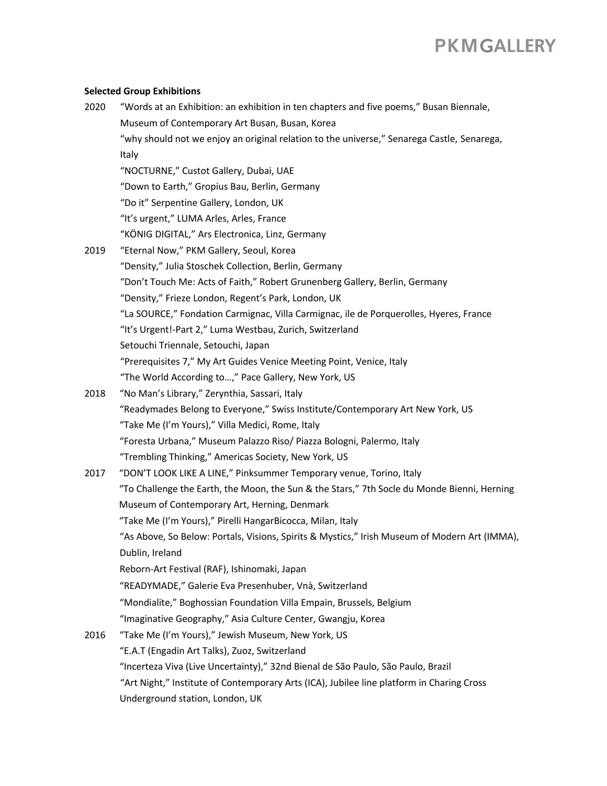#### **Selected Group Exhibitions**

| 2020 | "Words at an Exhibition: an exhibition in ten chapters and five poems," Busan Biennale,       |
|------|-----------------------------------------------------------------------------------------------|
|      | Museum of Contemporary Art Busan, Busan, Korea                                                |
|      | "why should not we enjoy an original relation to the universe," Senarega Castle, Senarega,    |
|      | Italy                                                                                         |
|      | "NOCTURNE," Custot Gallery, Dubai, UAE                                                        |
|      | "Down to Earth," Gropius Bau, Berlin, Germany                                                 |
|      | "Do it" Serpentine Gallery, London, UK                                                        |
|      | "It's urgent," LUMA Arles, Arles, France                                                      |
|      | "KÖNIG DIGITAL," Ars Electronica, Linz, Germany                                               |
| 2019 | "Eternal Now," PKM Gallery, Seoul, Korea                                                      |
|      | "Density," Julia Stoschek Collection, Berlin, Germany                                         |
|      | "Don't Touch Me: Acts of Faith," Robert Grunenberg Gallery, Berlin, Germany                   |
|      | "Density," Frieze London, Regent's Park, London, UK                                           |
|      | "La SOURCE," Fondation Carmignac, Villa Carmignac, ile de Porquerolles, Hyeres, France        |
|      | "It's Urgent!-Part 2," Luma Westbau, Zurich, Switzerland                                      |
|      | Setouchi Triennale, Setouchi, Japan                                                           |
|      | "Prerequisites 7," My Art Guides Venice Meeting Point, Venice, Italy                          |
|      | "The World According to," Pace Gallery, New York, US                                          |
| 2018 | "No Man's Library," Zerynthia, Sassari, Italy                                                 |
|      | "Readymades Belong to Everyone," Swiss Institute/Contemporary Art New York, US                |
|      | "Take Me (I'm Yours)," Villa Medici, Rome, Italy                                              |
|      | "Foresta Urbana," Museum Palazzo Riso/ Piazza Bologni, Palermo, Italy                         |
|      | "Trembling Thinking," Americas Society, New York, US                                          |
| 2017 | "DON'T LOOK LIKE A LINE," Pinksummer Temporary venue, Torino, Italy                           |
|      | "To Challenge the Earth, the Moon, the Sun & the Stars," 7th Socle du Monde Bienni, Herning   |
|      | Museum of Contemporary Art, Herning, Denmark                                                  |
|      | "Take Me (I'm Yours)," Pirelli HangarBicocca, Milan, Italy                                    |
|      | "As Above, So Below: Portals, Visions, Spirits & Mystics," Irish Museum of Modern Art (IMMA), |
|      | Dublin, Ireland                                                                               |
|      | Reborn-Art Festival (RAF), Ishinomaki, Japan                                                  |
|      | "READYMADE," Galerie Eva Presenhuber, Vnà, Switzerland                                        |
|      | "Mondialite," Boghossian Foundation Villa Empain, Brussels, Belgium                           |
|      | "Imaginative Geography," Asia Culture Center, Gwangju, Korea                                  |
| 2016 | "Take Me (I'm Yours)," Jewish Museum, New York, US                                            |
|      | "E.A.T (Engadin Art Talks), Zuoz, Switzerland                                                 |
|      | "Incerteza Viva (Live Uncertainty)," 32nd Bienal de São Paulo, São Paulo, Brazil              |
|      | "Art Night," Institute of Contemporary Arts (ICA), Jubilee line platform in Charing Cross     |
|      | Underground station, London, UK                                                               |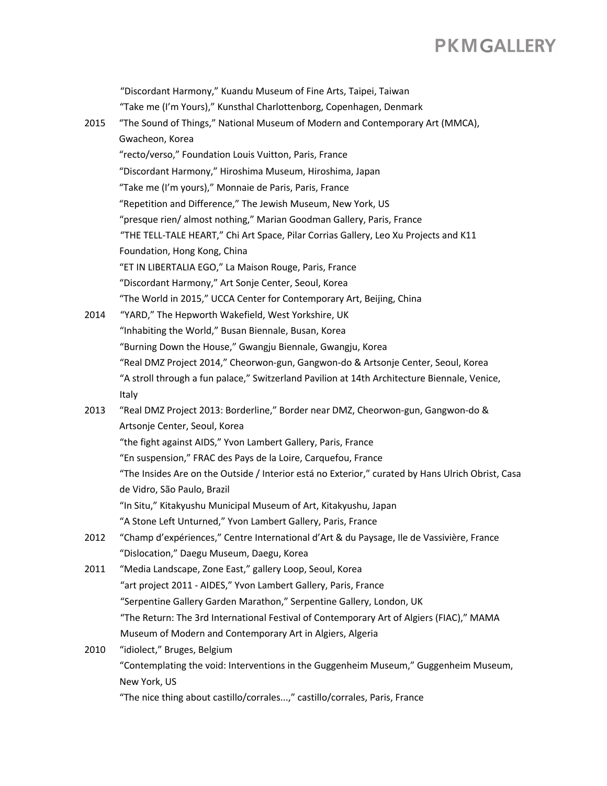"Discordant Harmony," Kuandu Museum of Fine Arts, Taipei, Taiwan "Take me (I'm Yours)," Kunsthal Charlottenborg, Copenhagen, Denmark 2015 "The Sound of Things," National Museum of Modern and Contemporary Art (MMCA), Gwacheon, Korea "recto/verso," Foundation Louis Vuitton, Paris, France "Discordant Harmony," Hiroshima Museum, Hiroshima, Japan "Take me (I'm yours)," Monnaie de Paris, Paris, France "Repetition and Difference," The Jewish Museum, New York, US "presque rien/ almost nothing," Marian Goodman Gallery, Paris, France "THE TELL-TALE HEART," Chi Art Space, Pilar Corrias Gallery, Leo Xu Projects and K11 Foundation, Hong Kong, China "ET IN LIBERTALIA EGO," La Maison Rouge, Paris, France "Discordant Harmony," Art Sonje Center, Seoul, Korea "The World in 2015," UCCA Center for Contemporary Art, Beijing, China 2014 "YARD," The Hepworth Wakefield, West Yorkshire, UK "Inhabiting the World," Busan Biennale, Busan, Korea "Burning Down the House," Gwangju Biennale, Gwangju, Korea "Real DMZ Project 2014," Cheorwon-gun, Gangwon-do & Artsonje Center, Seoul, Korea "A stroll through a fun palace," Switzerland Pavilion at 14th Architecture Biennale, Venice, Italy 2013 "Real DMZ Project 2013: Borderline," Border near DMZ, Cheorwon-gun, Gangwon-do & Artsonje Center, Seoul, Korea "the fight against AIDS," Yvon Lambert Gallery, Paris, France "En suspension," FRAC des Pays de la Loire, Carquefou, France "The Insides Are on the Outside / Interior está no Exterior," curated by Hans Ulrich Obrist, Casa de Vidro, São Paulo, Brazil "In Situ," Kitakyushu Municipal Museum of Art, Kitakyushu, Japan "A Stone Left Unturned," Yvon Lambert Gallery, Paris, France 2012 "Champ d'expériences," Centre International d'Art & du Paysage, Ile de Vassivière, France "Dislocation," Daegu Museum, Daegu, Korea 2011 "Media Landscape, Zone East," gallery Loop, Seoul, Korea "art project 2011 - AIDES," Yvon Lambert Gallery, Paris, France "Serpentine Gallery Garden Marathon," Serpentine Gallery, London, UK "The Return: The 3rd International Festival of Contemporary Art of Algiers (FIAC)," MAMA Museum of Modern and Contemporary Art in Algiers, Algeria 2010 "idiolect," Bruges, Belgium "Contemplating the void: Interventions in the Guggenheim Museum," Guggenheim Museum, New York, US "The nice thing about castillo/corrales...," castillo/corrales, Paris, France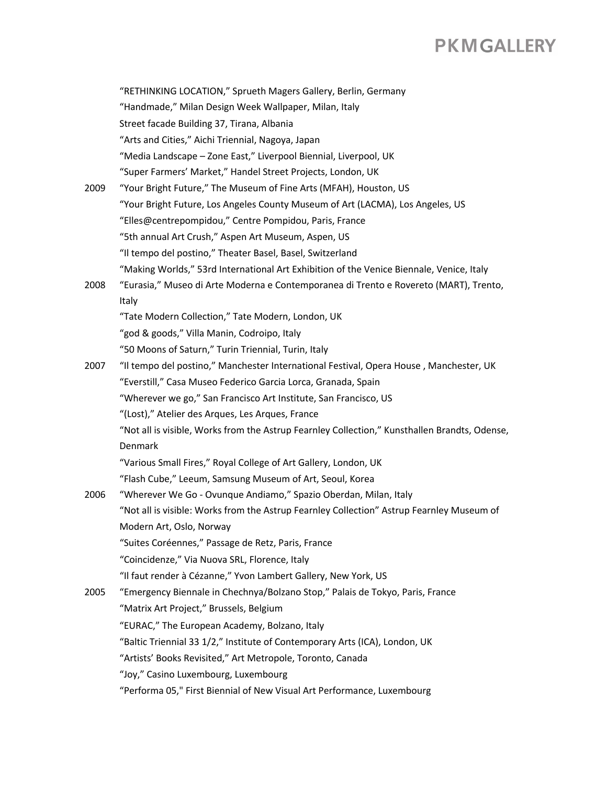"RETHINKING LOCATION," Sprueth Magers Gallery, Berlin, Germany "Handmade," Milan Design Week Wallpaper, Milan, Italy Street facade Building 37, Tirana, Albania "Arts and Cities," Aichi Triennial, Nagoya, Japan "Media Landscape – Zone East," Liverpool Biennial, Liverpool, UK "Super Farmers' Market," Handel Street Projects, London, UK 2009 "Your Bright Future," The Museum of Fine Arts (MFAH), Houston, US "Your Bright Future, Los Angeles County Museum of Art (LACMA), Los Angeles, US "Elles@centrepompidou," Centre Pompidou, Paris, France "5th annual Art Crush," Aspen Art Museum, Aspen, US "Il tempo del postino," Theater Basel, Basel, Switzerland "Making Worlds," 53rd International Art Exhibition of the Venice Biennale, Venice, Italy 2008 "Eurasia," Museo di Arte Moderna e Contemporanea di Trento e Rovereto (MART), Trento, Italy "Tate Modern Collection," Tate Modern, London, UK "god & goods," Villa Manin, Codroipo, Italy "50 Moons of Saturn," Turin Triennial, Turin, Italy 2007 "Il tempo del postino," Manchester International Festival, Opera House , Manchester, UK "Everstill," Casa Museo Federico Garcia Lorca, Granada, Spain "Wherever we go," San Francisco Art Institute, San Francisco, US "(Lost)," Atelier des Arques, Les Arques, France "Not all is visible, Works from the Astrup Fearnley Collection," Kunsthallen Brandts, Odense, Denmark "Various Small Fires," Royal College of Art Gallery, London, UK "Flash Cube," Leeum, Samsung Museum of Art, Seoul, Korea 2006 "Wherever We Go - Ovunque Andiamo," Spazio Oberdan, Milan, Italy "Not all is visible: Works from the Astrup Fearnley Collection" Astrup Fearnley Museum of Modern Art, Oslo, Norway "Suites Coréennes," Passage de Retz, Paris, France "Coincidenze," Via Nuova SRL, Florence, Italy "Il faut render à Cézanne," Yvon Lambert Gallery, New York, US 2005 "Emergency Biennale in Chechnya/Bolzano Stop," Palais de Tokyo, Paris, France "Matrix Art Project," Brussels, Belgium "EURAC," The European Academy, Bolzano, Italy "Baltic Triennial 33 1/2," Institute of Contemporary Arts (ICA), London, UK "Artists' Books Revisited," Art Metropole, Toronto, Canada "Joy," Casino Luxembourg, Luxembourg "Performa 05," First Biennial of New Visual Art Performance, Luxembourg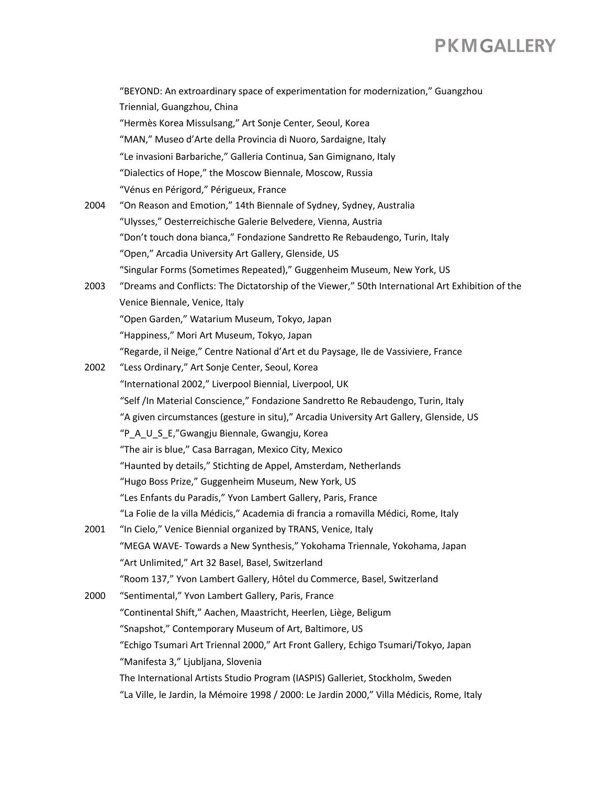|      | "BEYOND: An extroardinary space of experimentation for modernization," Guangzhou                 |
|------|--------------------------------------------------------------------------------------------------|
|      | Triennial, Guangzhou, China                                                                      |
|      | "Hermès Korea Missulsang," Art Sonje Center, Seoul, Korea                                        |
|      | "MAN," Museo d'Arte della Provincia di Nuoro, Sardaigne, Italy                                   |
|      | "Le invasioni Barbariche," Galleria Continua, San Gimignano, Italy                               |
|      | "Dialectics of Hope," the Moscow Biennale, Moscow, Russia                                        |
|      | "Vénus en Périgord," Périgueux, France                                                           |
| 2004 | "On Reason and Emotion," 14th Biennale of Sydney, Sydney, Australia                              |
|      | "Ulysses," Oesterreichische Galerie Belvedere, Vienna, Austria                                   |
|      | "Don't touch dona bianca," Fondazione Sandretto Re Rebaudengo, Turin, Italy                      |
|      | "Open," Arcadia University Art Gallery, Glenside, US                                             |
|      | "Singular Forms (Sometimes Repeated)," Guggenheim Museum, New York, US                           |
| 2003 | "Dreams and Conflicts: The Dictatorship of the Viewer," 50th International Art Exhibition of the |
|      | Venice Biennale, Venice, Italy                                                                   |
|      | "Open Garden," Watarium Museum, Tokyo, Japan                                                     |
|      | "Happiness," Mori Art Museum, Tokyo, Japan                                                       |
|      | "Regarde, il Neige," Centre National d'Art et du Paysage, lle de Vassiviere, France              |
| 2002 | "Less Ordinary," Art Sonje Center, Seoul, Korea                                                  |
|      | "International 2002," Liverpool Biennial, Liverpool, UK                                          |
|      | "Self /In Material Conscience," Fondazione Sandretto Re Rebaudengo, Turin, Italy                 |
|      | "A given circumstances (gesture in situ)," Arcadia University Art Gallery, Glenside, US          |
|      | "P_A_U_S_E,"Gwangju Biennale, Gwangju, Korea                                                     |
|      | "The air is blue," Casa Barragan, Mexico City, Mexico                                            |
|      | "Haunted by details," Stichting de Appel, Amsterdam, Netherlands                                 |
|      | "Hugo Boss Prize," Guggenheim Museum, New York, US                                               |
|      | "Les Enfants du Paradis," Yvon Lambert Gallery, Paris, France                                    |
|      | "La Folie de la villa Médicis," Academia di francia a romavilla Médici, Rome, Italy              |
| 2001 | "In Cielo," Venice Biennial organized by TRANS, Venice, Italy                                    |
|      | "MEGA WAVE-Towards a New Synthesis," Yokohama Triennale, Yokohama, Japan                         |
|      | "Art Unlimited," Art 32 Basel, Basel, Switzerland                                                |
|      | "Room 137," Yvon Lambert Gallery, Hôtel du Commerce, Basel, Switzerland                          |
| 2000 | "Sentimental," Yvon Lambert Gallery, Paris, France                                               |
|      | "Continental Shift," Aachen, Maastricht, Heerlen, Liège, Beligum                                 |
|      | "Snapshot," Contemporary Museum of Art, Baltimore, US                                            |
|      | "Echigo Tsumari Art Triennal 2000," Art Front Gallery, Echigo Tsumari/Tokyo, Japan               |
|      | "Manifesta 3," Ljubljana, Slovenia                                                               |
|      | The International Artists Studio Program (IASPIS) Galleriet, Stockholm, Sweden                   |
|      | "La Ville, le Jardin, la Mémoire 1998 / 2000: Le Jardin 2000," Villa Médicis, Rome, Italy        |
|      |                                                                                                  |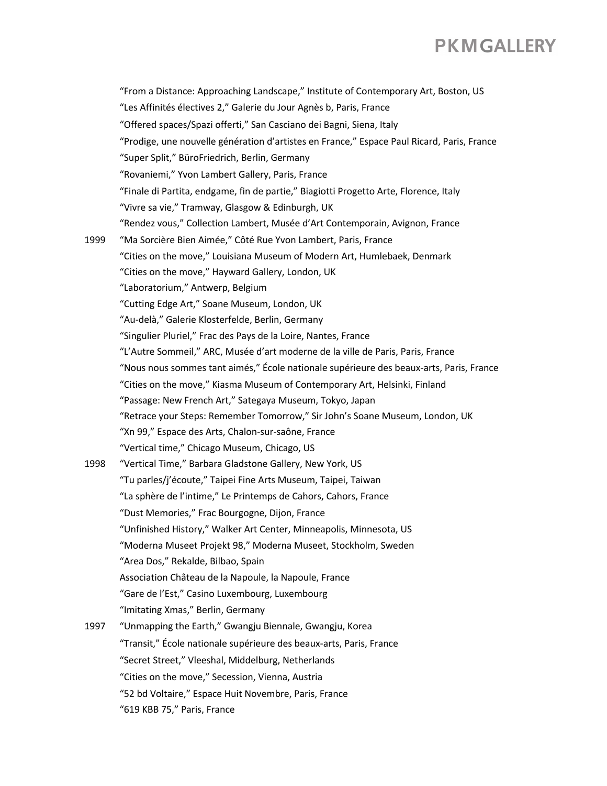"From a Distance: Approaching Landscape," Institute of Contemporary Art, Boston, US "Les Affinités électives 2," Galerie du Jour Agnès b, Paris, France "Offered spaces/Spazi offerti," San Casciano dei Bagni, Siena, Italy "Prodige, une nouvelle génération d'artistes en France," Espace Paul Ricard, Paris, France "Super Split," BüroFriedrich, Berlin, Germany "Rovaniemi," Yvon Lambert Gallery, Paris, France "Finale di Partita, endgame, fin de partie," Biagiotti Progetto Arte, Florence, Italy "Vivre sa vie," Tramway, Glasgow & Edinburgh, UK "Rendez vous," Collection Lambert, Musée d'Art Contemporain, Avignon, France 1999 "Ma Sorcière Bien Aimée," Côté Rue Yvon Lambert, Paris, France "Cities on the move," Louisiana Museum of Modern Art, Humlebaek, Denmark "Cities on the move," Hayward Gallery, London, UK "Laboratorium," Antwerp, Belgium "Cutting Edge Art," Soane Museum, London, UK "Au-delà," Galerie Klosterfelde, Berlin, Germany "Singulier Pluriel," Frac des Pays de la Loire, Nantes, France "L'Autre Sommeil," ARC, Musée d'art moderne de la ville de Paris, Paris, France "Nous nous sommes tant aimés," École nationale supérieure des beaux-arts, Paris, France "Cities on the move," Kiasma Museum of Contemporary Art, Helsinki, Finland "Passage: New French Art," Sategaya Museum, Tokyo, Japan "Retrace your Steps: Remember Tomorrow," Sir John's Soane Museum, London, UK "Xn 99," Espace des Arts, Chalon-sur-saône, France "Vertical time," Chicago Museum, Chicago, US 1998 "Vertical Time," Barbara Gladstone Gallery, New York, US "Tu parles/j'écoute," Taipei Fine Arts Museum, Taipei, Taiwan "La sphère de l'intime," Le Printemps de Cahors, Cahors, France "Dust Memories," Frac Bourgogne, Dijon, France "Unfinished History," Walker Art Center, Minneapolis, Minnesota, US "Moderna Museet Projekt 98," Moderna Museet, Stockholm, Sweden "Area Dos," Rekalde, Bilbao, Spain Association Château de la Napoule, la Napoule, France "Gare de l'Est," Casino Luxembourg, Luxembourg "Imitating Xmas," Berlin, Germany 1997 "Unmapping the Earth," Gwangju Biennale, Gwangju, Korea "Transit," École nationale supérieure des beaux-arts, Paris, France "Secret Street," Vleeshal, Middelburg, Netherlands "Cities on the move," Secession, Vienna, Austria "52 bd Voltaire," Espace Huit Novembre, Paris, France "619 KBB 75," Paris, France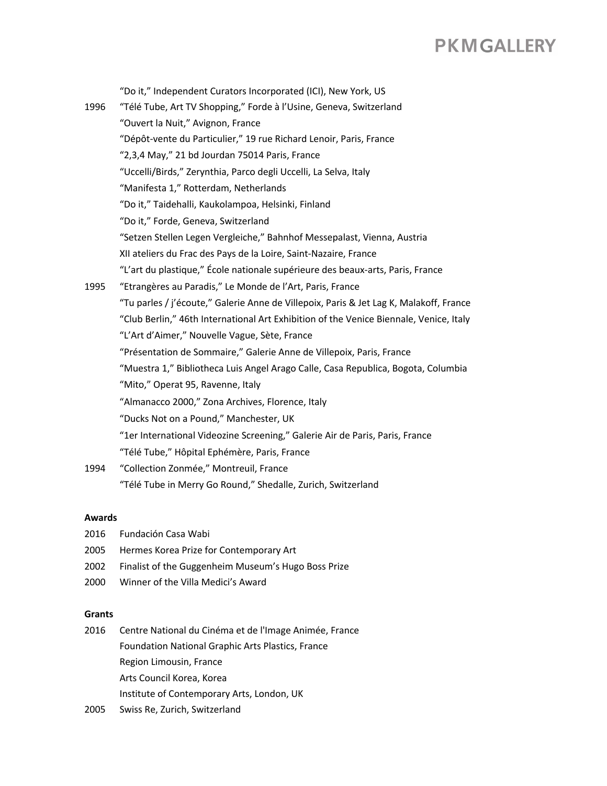"Do it," Independent Curators Incorporated (ICI), New York, US 1996 "Télé Tube, Art TV Shopping," Forde à l'Usine, Geneva, Switzerland "Ouvert la Nuit," Avignon, France "Dépôt-vente du Particulier," 19 rue Richard Lenoir, Paris, France "2,3,4 May," 21 bd Jourdan 75014 Paris, France "Uccelli/Birds," Zerynthia, Parco degli Uccelli, La Selva, Italy "Manifesta 1," Rotterdam, Netherlands "Do it," Taidehalli, Kaukolampoa, Helsinki, Finland "Do it," Forde, Geneva, Switzerland "Setzen Stellen Legen Vergleiche," Bahnhof Messepalast, Vienna, Austria XII ateliers du Frac des Pays de la Loire, Saint-Nazaire, France "L'art du plastique," École nationale supérieure des beaux-arts, Paris, France 1995 "Etrangères au Paradis," Le Monde de l'Art, Paris, France "Tu parles / j'écoute," Galerie Anne de Villepoix, Paris & Jet Lag K, Malakoff, France "Club Berlin," 46th International Art Exhibition of the Venice Biennale, Venice, Italy "L'Art d'Aimer," Nouvelle Vague, Sète, France "Présentation de Sommaire," Galerie Anne de Villepoix, Paris, France "Muestra 1," Bibliotheca Luis Angel Arago Calle, Casa Republica, Bogota, Columbia "Mito," Operat 95, Ravenne, Italy "Almanacco 2000," Zona Archives, Florence, Italy "Ducks Not on a Pound," Manchester, UK "1er International Videozine Screening," Galerie Air de Paris, Paris, France "Télé Tube," Hôpital Ephémère, Paris, France 1994 "Collection Zonmée," Montreuil, France "Télé Tube in Merry Go Round," Shedalle, Zurich, Switzerland

#### **Awards**

- 2016 Fundación Casa Wabi
- 2005 Hermes Korea Prize for Contemporary Art
- 2002 Finalist of the Guggenheim Museum's Hugo Boss Prize
- 2000 Winner of the Villa Medici's Award

#### **Grants**

2016 Centre National du Cinéma et de l'Image Animée, France Foundation National Graphic Arts Plastics, France Region Limousin, France Arts Council Korea, Korea Institute of Contemporary Arts, London, UK

2005 Swiss Re, Zurich, Switzerland